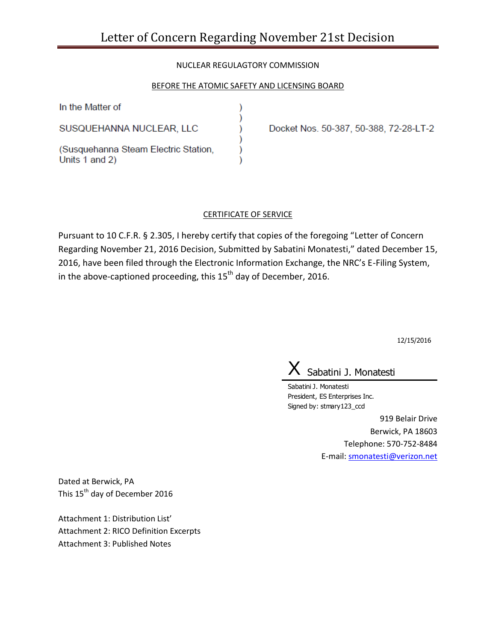# NUCLEAR REGULAGTORY COMMISSION

## BEFORE THE ATOMIC SAFETY AND LICENSING BOARD

)

In the Matter of

SUSQUEHANNA NUCLEAR, LLC

(Susquehanna Steam Electric Station, Units 1 and 2)

Docket Nos. 50-387, 50-388, 72-28-LT-2

### CERTIFICATE OF SERVICE

Pursuant to 10 C.F.R. § 2.305, I hereby certify that copies of the foregoing "Letter of Concern Regarding November 21, 2016 Decision, Submitted by Sabatini Monatesti," dated December 15, 2016, have been filed through the Electronic Information Exchange, the NRC's E-Filing System, in the above-captioned proceeding, this 15<sup>th</sup> day of December, 2016.

12/15/2016

Sabatini J. Monatesti

Sabatini J. Monatesti President, ES Enterprises Inc. Signed by: stmary123\_ccd

> 919 Belair Drive Berwick, PA 18603 Telephone: 570-752-8484 E-mail: [smonatesti@verizon.net](mailto:smonatesti@verizon.net)

Dated at Berwick, PA This 15<sup>th</sup> day of December 2016

Attachment 1: Distribution List' Attachment 2: RICO Definition Excerpts Attachment 3: Published Notes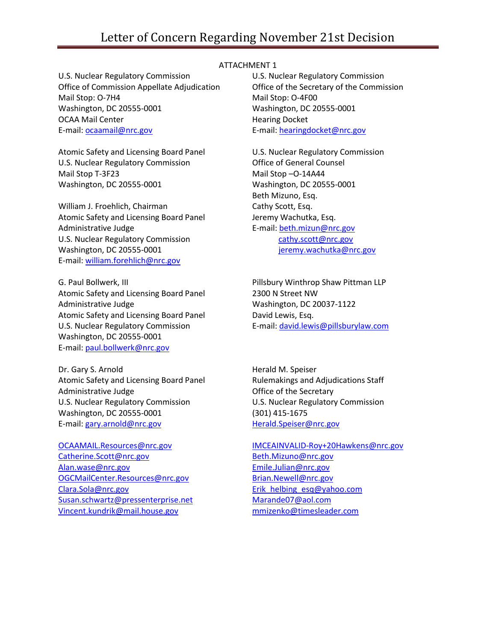# Letter of Concern Regarding November 21st Decision

U.S. Nuclear Regulatory Commission Office of Commission Appellate Adjudication Mail Stop: O-7H4 Washington, DC 20555-0001 OCAA Mail Center E-mail: [ocaamail@nrc.gov](mailto:ocaamail@nrc.gov)

Atomic Safety and Licensing Board Panel U.S. Nuclear Regulatory Commission Mail Stop T-3F23 Washington, DC 20555-0001

William J. Froehlich, Chairman Atomic Safety and Licensing Board Panel Administrative Judge U.S. Nuclear Regulatory Commission Washington, DC 20555-0001 E-mail: [william.forehlich@nrc.gov](mailto:william.forehlich@nrc.gov)

G. Paul Bollwerk, III Atomic Safety and Licensing Board Panel Administrative Judge Atomic Safety and Licensing Board Panel U.S. Nuclear Regulatory Commission Washington, DC 20555-0001 E-mail: [paul.bollwerk@nrc.gov](mailto:paul.bollwerk@nrc.gov)

Dr. Gary S. Arnold Atomic Safety and Licensing Board Panel Administrative Judge U.S. Nuclear Regulatory Commission Washington, DC 20555-0001 E-mail: [gary.arnold@nrc.gov](mailto:gary.arnold@nrc.gov)

[Catherine.Scott@nrc.gov](mailto:Catherine.Scott@nrc.gov) [Beth.Mizuno@nrc.gov](mailto:Beth.Mizuno@nrc.gov) [Alan.wase@nrc.gov](mailto:Alan.wase@nrc.gov) [Emile.Julian@nrc.gov](mailto:Emile.Julian@nrc.gov) [OGCMailCenter.Resources@nrc.gov](mailto:OGCMailCenter.Resources@nrc.gov) [Clara.Sola@nrc.gov](mailto:Clara.Sola@nrc.gov) [Erik\\_helbing\\_esq@yahoo.com](mailto:Erik_helbing_esq@yahoo.com) [Susan.schwartz@pressenterprise.net](mailto:Susan.schwartz@pressenterprise.net) [Marande07@aol.com](mailto:Marande07@aol.com) [Vincent.kundrik@mail.house.gov](mailto:Vincent.kundrik@mail.house.gov) [mmizenko@timesleader.com](mailto:mmizenko@timesleader.com)

#### ATTACHMENT 1

U.S. Nuclear Regulatory Commission Office of the Secretary of the Commission Mail Stop: O-4F00 Washington, DC 20555-0001 Hearing Docket E-mail[: hearingdocket@nrc.gov](mailto:hearingdocket@nrc.gov)

U.S. Nuclear Regulatory Commission Office of General Counsel Mail Stop –O-14A44 Washington, DC 20555-0001 Beth Mizuno, Esq. Cathy Scott, Esq. Jeremy Wachutka, Esq. E-mail[: beth.mizun@nrc.gov](mailto:beth.mizun@nrc.gov) [cathy.scott@nrc.gov](mailto:cathy.scott@nrc.gov) [jeremy.wachutka@nrc.gov](mailto:jeremy.wachutka@nrc.gov)

Pillsbury Winthrop Shaw Pittman LLP 2300 N Street NW Washington, DC 20037-1122 David Lewis, Esq. E-mail[: david.lewis@pillsburylaw.com](mailto:david.lewis@pillsburylaw.com)

Herald M. Speiser Rulemakings and Adjudications Staff Office of the Secretary U.S. Nuclear Regulatory Commission (301) 415-1675 [Herald.Speiser@nrc.gov](mailto:Herald.Speiser@nrc.gov)

[OCAAMAIL.Resources@nrc.gov](mailto:OCAAMAIL.Resources@nrc.gov) [IMCEAINVALID-Roy+20Hawkens@nrc.gov](mailto:IMCEAINVALID-Roy+20Hawkens@nrc.gov)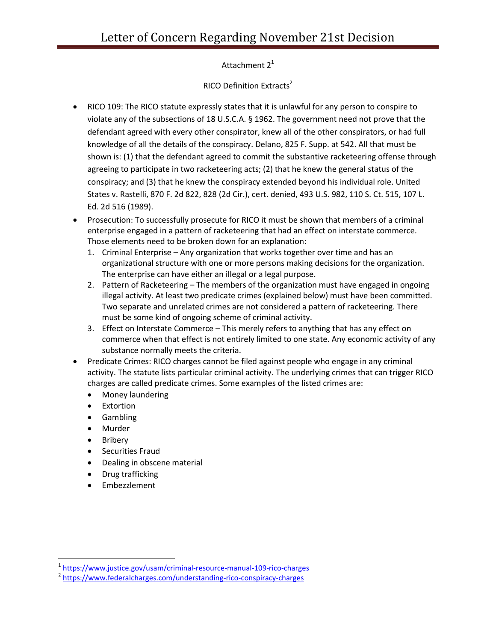Attachment  $2<sup>1</sup>$ 

RICO Definition Extracts<sup>2</sup>

- RICO 109: The RICO statute expressly states that it is unlawful for any person to conspire to violate any of the subsections of 18 U.S.C.A. § 1962. The government need not prove that the defendant agreed with every other conspirator, knew all of the other conspirators, or had full knowledge of all the details of the conspiracy. Delano, 825 F. Supp. at 542. All that must be shown is: (1) that the defendant agreed to commit the substantive racketeering offense through agreeing to participate in two racketeering acts; (2) that he knew the general status of the conspiracy; and (3) that he knew the conspiracy extended beyond his individual role. United States v. Rastelli, 870 F. 2d 822, 828 (2d Cir.), cert. denied, 493 U.S. 982, 110 S. Ct. 515, 107 L. Ed. 2d 516 (1989).
- Prosecution: To successfully prosecute for RICO it must be shown that members of a criminal enterprise engaged in a [pattern of racketeering](https://www.federalcharges.com/racketeering-laws-charges/) that had an effect on interstate commerce. Those elements need to be broken down for an explanation:
	- 1. Criminal Enterprise Any organization that works together over time and has an organizational structure with one or more persons making decisions for the organization. The enterprise can have either an illegal or a legal purpose.
	- 2. Pattern of Racketeering The members of the organization must have engaged in ongoing illegal activity. At least two predicate crimes (explained below) must have been committed. Two separate and unrelated crimes are not considered a pattern of racketeering. There must be some kind of ongoing scheme of criminal activity.
	- 3. Effect on Interstate Commerce This merely refers to anything that has any effect on commerce when that effect is not entirely limited to one state. Any economic activity of any substance normally meets the criteria.
- Predicate Crimes: RICO charges cannot be filed against people who engage in any criminal activity. The statute lists particular criminal activity. The underlying crimes that can trigger RICO charges are called predicate crimes. Some examples of the listed crimes are:
	- Money laundering
	- Extortion
	- Gambling
	- Murder
	- Bribery

l

- **•** Securities Fraud
- Dealing in obscene material
- Drug trafficking
- Embezzlement

<sup>&</sup>lt;sup>1</sup> <https://www.justice.gov/usam/criminal-resource-manual-109-rico-charges>

<sup>&</sup>lt;sup>2</sup> <https://www.federalcharges.com/understanding-rico-conspiracy-charges>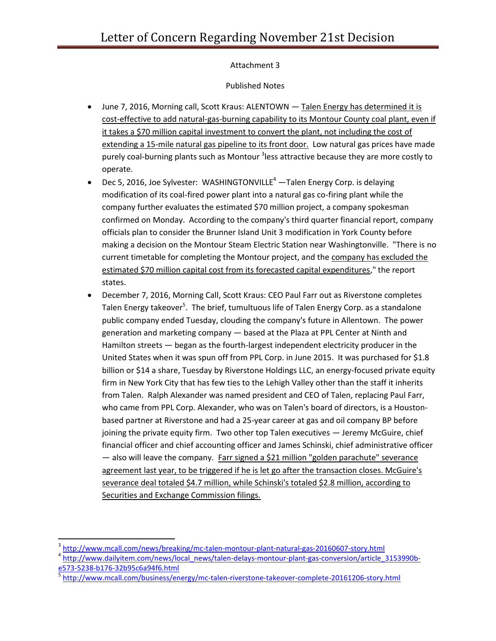# Attachment 3

## Published Notes

- June 7, 2016, Morning call, Scott Kraus: ALENTOWN Talen Energy has determined it is cost-effective to add natural-gas-burning capability to its Montour County coal plant, even if it takes a \$70 million capital investment to convert the plant, not including the cost of extending a 15-mile natural gas pipeline to its front door. Low natural gas prices have made purely coal-burning plants such as Montour <sup>3</sup>less attractive because they are more costly to operate.
- **•** Dec 5, 2016, Joe Sylvester: WASHINGTONVILLE<sup>4</sup> Talen Energy Corp. is delaying modification of its coal-fired power plant into a natural gas co-firing plant while the company further evaluates the estimated \$70 million project, a company spokesman confirmed on Monday. According to the company's third quarter financial report, company officials plan to consider the Brunner Island Unit 3 modification in York County before making a decision on the Montour Steam Electric Station near Washingtonville. "There is no current timetable for completing the Montour project, and the company has excluded the estimated \$70 million capital cost from its forecasted capital expenditures," the report states.
- December 7, 2016, Morning Call, Scott Kraus: CEO Paul Farr out as Riverstone completes Talen Energy takeover<sup>5</sup>. The brief, tumultuous life of Talen Energy Corp. as a standalone public company ended Tuesday, clouding the company's future in Allentown. The power generation and marketing company — based at the Plaza at PPL Center at Ninth and Hamilton streets — began as the fourth-largest independent electricity producer in the United States when it was spun off from PPL Corp. in June 2015. It was purchased for \$1.8 billion or \$14 a share, Tuesday by Riverstone Holdings LLC, an energy-focused private equity firm in New York City that has few ties to the Lehigh Valley other than the staff it inherits from Talen. Ralph Alexander was named president and CEO of Talen, replacing Paul Farr, who came from PPL Corp. Alexander, who was on Talen's board of directors, is a Houstonbased partner at Riverstone and had a 25-year career at gas and oil company BP before joining the private equity firm. Two other top Talen executives — Jeremy McGuire, chief financial officer and chief accounting officer and James Schinski, chief administrative officer — also will leave the company. Farr signed a \$21 million "golden parachute" severance agreement last year, to be triggered if he is let go after the transaction closes. McGuire's severance deal totaled \$4.7 million, while Schinski's totaled \$2.8 million, according to Securities and Exchange Commission filings.

 $\overline{a}$ 

<sup>&</sup>lt;sup>3</sup> <http://www.mcall.com/news/breaking/mc-talen-montour-plant-natural-gas-20160607-story.html>

<sup>&</sup>lt;sup>4</sup> [http://www.dailyitem.com/news/local\\_news/talen-delays-montour-plant-gas-conversion/article\\_3153990b](http://www.dailyitem.com/news/local_news/talen-delays-montour-plant-gas-conversion/article_3153990b-e573-5238-b176-32b95c6a94f6.html)[e573-5238-b176-32b95c6a94f6.html](http://www.dailyitem.com/news/local_news/talen-delays-montour-plant-gas-conversion/article_3153990b-e573-5238-b176-32b95c6a94f6.html)

<sup>5</sup> <http://www.mcall.com/business/energy/mc-talen-riverstone-takeover-complete-20161206-story.html>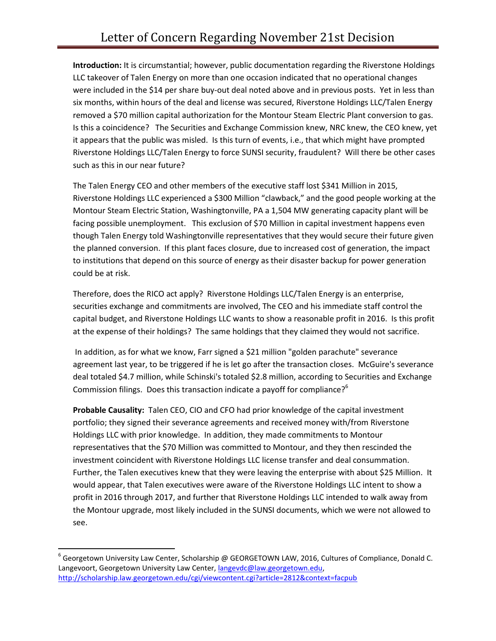**Introduction:** It is circumstantial; however, public documentation regarding the Riverstone Holdings LLC takeover of Talen Energy on more than one occasion indicated that no operational changes were included in the \$14 per share buy-out deal noted above and in previous posts. Yet in less than six months, within hours of the deal and license was secured, Riverstone Holdings LLC/Talen Energy removed a \$70 million capital authorization for the Montour Steam Electric Plant conversion to gas. Is this a coincidence? The Securities and Exchange Commission knew, NRC knew, the CEO knew, yet it appears that the public was misled. Is this turn of events, i.e., that which might have prompted Riverstone Holdings LLC/Talen Energy to force SUNSI security, fraudulent? Will there be other cases such as this in our near future?

The Talen Energy CEO and other members of the executive staff lost \$341 Million in 2015, Riverstone Holdings LLC experienced a \$300 Million "clawback," and the good people working at the Montour Steam Electric Station, Washingtonville, PA a 1,504 MW generating capacity plant will be facing possible unemployment. This exclusion of \$70 Million in capital investment happens even though Talen Energy told Washingtonville representatives that they would secure their future given the planned conversion. If this plant faces closure, due to increased cost of generation, the impact to institutions that depend on this source of energy as their disaster backup for power generation could be at risk.

Therefore, does the RICO act apply? Riverstone Holdings LLC/Talen Energy is an enterprise, securities exchange and commitments are involved, The CEO and his immediate staff control the capital budget, and Riverstone Holdings LLC wants to show a reasonable profit in 2016. Is this profit at the expense of their holdings? The same holdings that they claimed they would not sacrifice.

In addition, as for what we know, Farr signed a \$21 million "golden parachute" severance agreement last year, to be triggered if he is let go after the transaction closes. McGuire's severance deal totaled \$4.7 million, while Schinski's totaled \$2.8 million, according to Securities and Exchange Commission filings. Does this transaction indicate a payoff for compliance?<sup>6</sup>

**Probable Causality:** Talen CEO, CIO and CFO had prior knowledge of the capital investment portfolio; they signed their severance agreements and received money with/from Riverstone Holdings LLC with prior knowledge. In addition, they made commitments to Montour representatives that the \$70 Million was committed to Montour, and they then rescinded the investment coincident with Riverstone Holdings LLC license transfer and deal consummation. Further, the Talen executives knew that they were leaving the enterprise with about \$25 Million. It would appear, that Talen executives were aware of the Riverstone Holdings LLC intent to show a profit in 2016 through 2017, and further that Riverstone Holdings LLC intended to walk away from the Montour upgrade, most likely included in the SUNSI documents, which we were not allowed to see.

 $\overline{\phantom{a}}$ 

 $^6$  Georgetown University Law Center, Scholarship @ GEORGETOWN LAW, 2016, Cultures of Compliance, Donald C. Langevoort, Georgetown University Law Center, [langevdc@law.georgetown.edu,](mailto:langevdc@law.georgetown.edu)  <http://scholarship.law.georgetown.edu/cgi/viewcontent.cgi?article=2812&context=facpub>